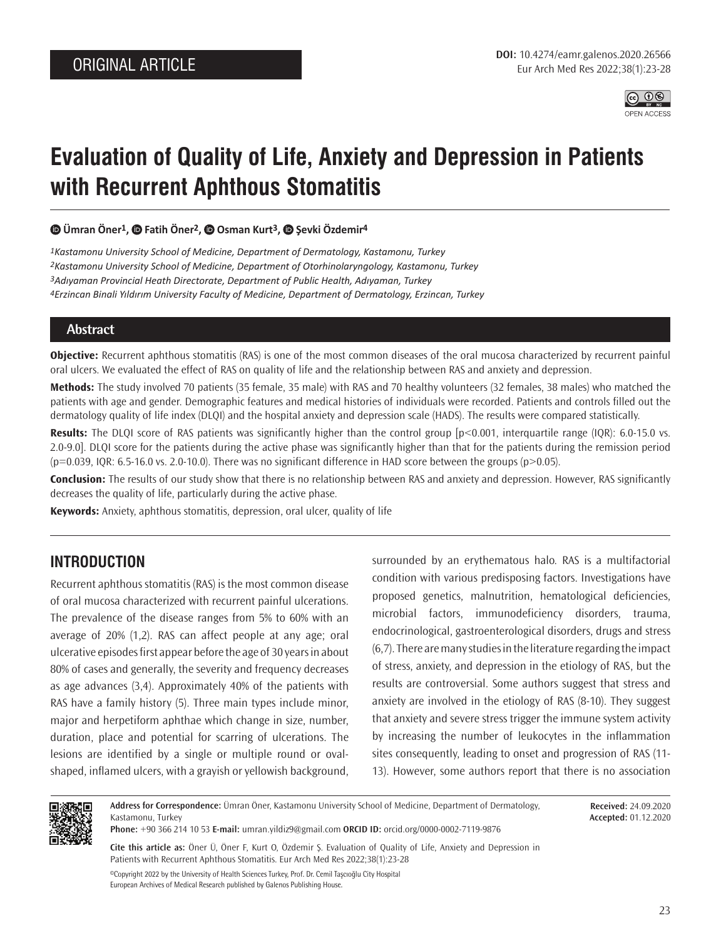

# **Evaluation of Quality of Life, Anxiety and Depression in Patients with Recurrent Aphthous Stomatitis**

#### **Ümran Öner1,Fatih Öner2, Osman Kurt3,Şevki Özdemir4**

*Kastamonu University School of Medicine, Department of Dermatology, Kastamonu, Turkey Kastamonu University School of Medicine, Department of Otorhinolaryngology, Kastamonu, Turkey Adıyaman Provincial Heath Directorate, Department of Public Health, Adıyaman, Turkey Erzincan Binali Yıldırım University Faculty of Medicine, Department of Dermatology, Erzincan, Turkey*

#### **Abstract**

**Objective:** Recurrent aphthous stomatitis (RAS) is one of the most common diseases of the oral mucosa characterized by recurrent painful oral ulcers. We evaluated the effect of RAS on quality of life and the relationship between RAS and anxiety and depression.

**Methods:** The study involved 70 patients (35 female, 35 male) with RAS and 70 healthy volunteers (32 females, 38 males) who matched the patients with age and gender. Demographic features and medical histories of individuals were recorded. Patients and controls filled out the dermatology quality of life index (DLQI) and the hospital anxiety and depression scale (HADS). The results were compared statistically.

**Results:** The DLQI score of RAS patients was significantly higher than the control group [p<0.001, interquartile range (IQR): 6.0-15.0 vs. 2.0-9.0]. DLQI score for the patients during the active phase was significantly higher than that for the patients during the remission period  $(p=0.039, 1QR: 6.5-16.0 \text{ vs. } 2.0-10.0)$ . There was no significant difference in HAD score between the groups  $(p>0.05)$ .

**Conclusion:** The results of our study show that there is no relationship between RAS and anxiety and depression. However, RAS significantly decreases the quality of life, particularly during the active phase.

**Keywords:** Anxiety, aphthous stomatitis, depression, oral ulcer, quality of life

### **INTRODUCTION**

Recurrent aphthous stomatitis (RAS) is the most common disease of oral mucosa characterized with recurrent painful ulcerations. The prevalence of the disease ranges from 5% to 60% with an average of 20% (1,2). RAS can affect people at any age; oral ulcerative episodes first appear before the age of 30 years in about 80% of cases and generally, the severity and frequency decreases as age advances (3,4). Approximately 40% of the patients with RAS have a family history (5). Three main types include minor, major and herpetiform aphthae which change in size, number, duration, place and potential for scarring of ulcerations. The lesions are identified by a single or multiple round or ovalshaped, inflamed ulcers, with a grayish or yellowish background,

surrounded by an erythematous halo. RAS is a multifactorial condition with various predisposing factors. Investigations have proposed genetics, malnutrition, hematological deficiencies, microbial factors, immunodeficiency disorders, trauma, endocrinological, gastroenterological disorders, drugs and stress (6,7). There are many studies in the literature regarding the impact of stress, anxiety, and depression in the etiology of RAS, but the results are controversial. Some authors suggest that stress and anxiety are involved in the etiology of RAS (8-10). They suggest that anxiety and severe stress trigger the immune system activity by increasing the number of leukocytes in the inflammation sites consequently, leading to onset and progression of RAS (11- 13). However, some authors report that there is no association



**Address for Correspondence:** Ümran Öner, Kastamonu University School of Medicine, Department of Dermatology, Kastamonu, Turkey

**Phone:** +90 366 214 10 53 **E-mail:** umran.yildiz9@gmail.com **ORCID ID:** orcid.org/0000-0002-7119-9876

**Cite this article as:** Öner Ü, Öner F, Kurt O, Özdemir Ş. Evaluation of Quality of Life, Anxiety and Depression in Patients with Recurrent Aphthous Stomatitis. Eur Arch Med Res 2022;38(1):23-28

©Copyright 2022 by the University of Health Sciences Turkey, Prof. Dr. Cemil Taşcıoğlu City Hospital European Archives of Medical Research published by Galenos Publishing House.

**Received:** 24.09.2020 **Accepted:** 01.12.2020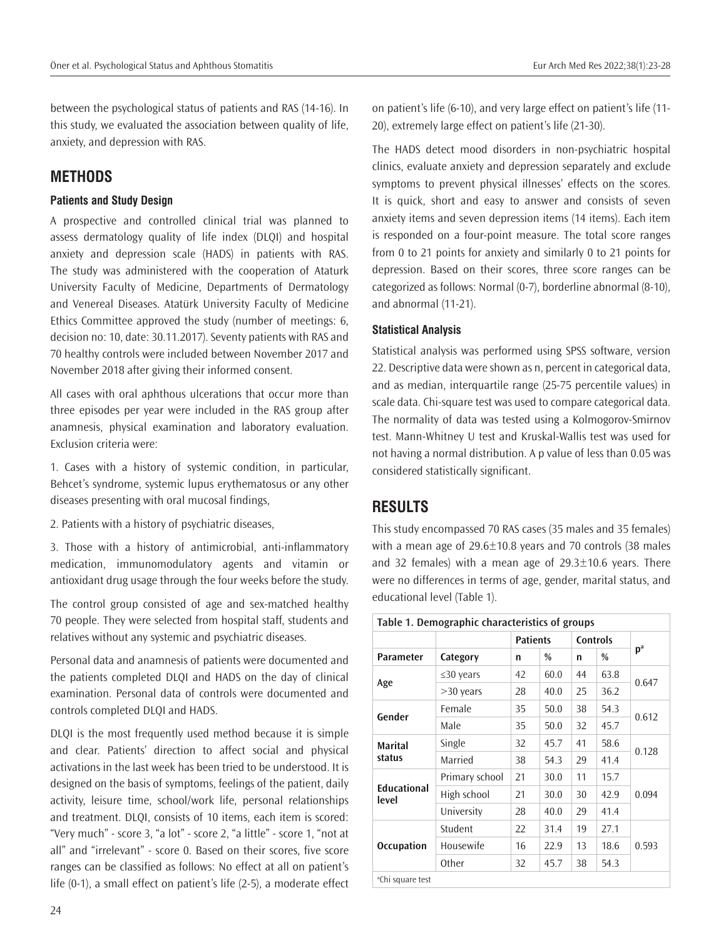between the psychological status of patients and RAS (14-16). In this study, we evaluated the association between quality of life, anxiety, and depression with RAS.

# **METHODS**

### **Patients and Study Design**

A prospective and controlled clinical trial was planned to assess dermatology quality of life index (DLQI) and hospital anxiety and depression scale (HADS) in patients with RAS. The study was administered with the cooperation of Ataturk University Faculty of Medicine, Departments of Dermatology and Venereal Diseases. Atatürk University Faculty of Medicine Ethics Committee approved the study (number of meetings: 6, decision no: 10, date: 30.11.2017). Seventy patients with RAS and 70 healthy controls were included between November 2017 and November 2018 after giving their informed consent.

All cases with oral aphthous ulcerations that occur more than three episodes per year were included in the RAS group after anamnesis, physical examination and laboratory evaluation. Exclusion criteria were:

1. Cases with a history of systemic condition, in particular, Behcet's syndrome, systemic lupus erythematosus or any other diseases presenting with oral mucosal findings,

2. Patients with a history of psychiatric diseases,

3. Those with a history of antimicrobial, anti-inflammatory medication, immunomodulatory agents and vitamin or antioxidant drug usage through the four weeks before the study.

The control group consisted of age and sex-matched healthy 70 people. They were selected from hospital staff, students and relatives without any systemic and psychiatric diseases.

Personal data and anamnesis of patients were documented and the patients completed DLQI and HADS on the day of clinical examination. Personal data of controls were documented and controls completed DLQI and HADS.

DLQI is the most frequently used method because it is simple and clear. Patients' direction to affect social and physical activations in the last week has been tried to be understood. It is designed on the basis of symptoms, feelings of the patient, daily activity, leisure time, school/work life, personal relationships and treatment. DLQI, consists of 10 items, each item is scored: "Very much" - score 3, "a lot" - score 2, "a little" - score 1, "not at all" and "irrelevant" - score 0. Based on their scores, five score ranges can be classified as follows: No effect at all on patient's life (0-1), a small effect on patient's life (2-5), a moderate effect on patient's life (6-10), and very large effect on patient's life (11- 20), extremely large effect on patient's life (21-30).

The HADS detect mood disorders in non-psychiatric hospital clinics, evaluate anxiety and depression separately and exclude symptoms to prevent physical illnesses' effects on the scores. It is quick, short and easy to answer and consists of seven anxiety items and seven depression items (14 items). Each item is responded on a four-point measure. The total score ranges from 0 to 21 points for anxiety and similarly 0 to 21 points for depression. Based on their scores, three score ranges can be categorized as follows: Normal (0-7), borderline abnormal (8-10), and abnormal (11-21).

### **Statistical Analysis**

Statistical analysis was performed using SPSS software, version 22. Descriptive data were shown as n, percent in categorical data, and as median, interquartile range (25-75 percentile values) in scale data. Chi-square test was used to compare categorical data. The normality of data was tested using a Kolmogorov-Smirnov test. Mann-Whitney U test and Kruskal-Wallis test was used for not having a normal distribution. A p value of less than 0.05 was considered statistically significant.

# **RESULTS**

This study encompassed 70 RAS cases (35 males and 35 females) with a mean age of 29.6±10.8 years and 70 controls (38 males and 32 females) with a mean age of 29.3±10.6 years. There were no differences in terms of age, gender, marital status, and educational level (Table 1).

| Table 1. Demographic characteristics of groups |                 |                 |      |                 |               |       |  |
|------------------------------------------------|-----------------|-----------------|------|-----------------|---------------|-------|--|
|                                                |                 | <b>Patients</b> |      | <b>Controls</b> |               |       |  |
| <b>Parameter</b>                               | Category        | n               | $\%$ | n               | $\frac{0}{0}$ | $p^a$ |  |
| Age                                            | $\leq$ 30 years | 42              | 60.0 | 44              | 63.8          |       |  |
|                                                | $>30$ years     | 28              | 40.0 | 25              | 36.2          | 0.647 |  |
| Gender                                         | Female          | 35              | 50.0 | 38              | 54.3          |       |  |
|                                                | Male            | 35              | 50.0 | 32              | 45.7          | 0.612 |  |
| <b>Marital</b><br>status                       | Single          | 32              | 45.7 | 41              | 58.6          | 0.128 |  |
|                                                | Married         | 38              | 54.3 | 29              | 41.4          |       |  |
| <b>Educational</b><br>level                    | Primary school  | 21              | 30.0 | 11              | 15.7          | 0.094 |  |
|                                                | High school     | 21              | 30.0 | 30              | 42.9          |       |  |
|                                                | University      | 28              | 40.0 | 29              | 41.4          |       |  |
| <b>Occupation</b>                              | Student         | 22              | 31.4 | 19              | 27.1          | 0.593 |  |
|                                                | Housewife       | 16              | 22.9 | 13              | 18.6          |       |  |
|                                                | Other           | 32              | 45.7 | 38              | 54.3          |       |  |
| <sup>a</sup> Chi square test                   |                 |                 |      |                 |               |       |  |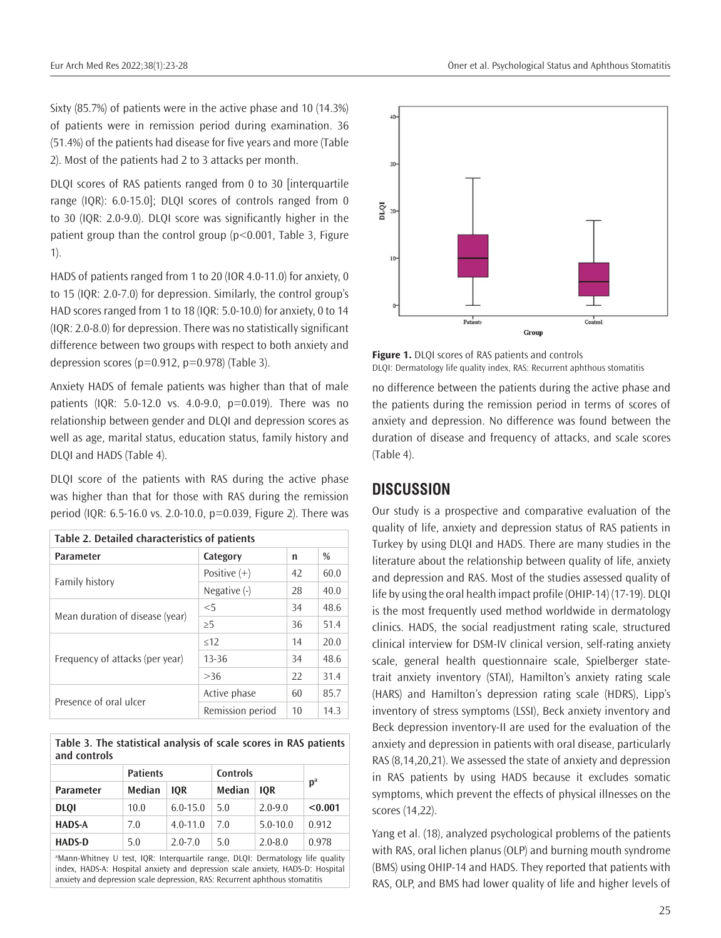Sixty (85.7%) of patients were in the active phase and 10 (14.3%) of patients were in remission period during examination. 36 (51.4%) of the patients had disease for five years and more (Table 2). Most of the patients had 2 to 3 attacks per month.

DLQI scores of RAS patients ranged from 0 to 30 [interquartile range (IQR): 6.0-15.0]; DLQI scores of controls ranged from 0 to 30 (IQR: 2.0-9.0). DLQI score was significantly higher in the patient group than the control group (p<0.001, Table 3, Figure 1).

HADS of patients ranged from 1 to 20 (IOR 4.0-11.0) for anxiety, 0 to 15 (IQR: 2.0-7.0) for depression. Similarly, the control group's HAD scores ranged from 1 to 18 (IQR: 5.0-10.0) for anxiety, 0 to 14 (IQR: 2.0-8.0) for depression. There was no statistically significant difference between two groups with respect to both anxiety and depression scores ( $p=0.912$ ,  $p=0.978$ ) (Table 3).

Anxiety HADS of female patients was higher than that of male patients (IQR: 5.0-12.0 vs. 4.0-9.0, p=0.019). There was no relationship between gender and DLQI and depression scores as well as age, marital status, education status, family history and DLQI and HADS (Table 4).

DLQI score of the patients with RAS during the active phase was higher than that for those with RAS during the remission period (IQR: 6.5-16.0 vs. 2.0-10.0, p=0.039, Figure 2). There was

| Table 2. Detailed characteristics of patients |                  |    |      |  |  |  |
|-----------------------------------------------|------------------|----|------|--|--|--|
| <b>Parameter</b>                              | Category         | n  | $\%$ |  |  |  |
|                                               | Positive $(+)$   | 42 | 60.0 |  |  |  |
| Family history                                | Negative $(-)$   | 28 | 40.0 |  |  |  |
|                                               | $<$ 5            | 34 | 48.6 |  |  |  |
| Mean duration of disease (year)               | $\geq 5$         | 36 | 51.4 |  |  |  |
|                                               | $\leq$ 12        | 14 | 20.0 |  |  |  |
| Frequency of attacks (per year)               | $13 - 36$        | 34 | 48.6 |  |  |  |
|                                               | >36              | 22 | 31.4 |  |  |  |
| Presence of oral ulcer                        | Active phase     | 60 | 85.7 |  |  |  |
|                                               | Remission period | 10 | 14.3 |  |  |  |

**Table 3. The statistical analysis of scale scores in RAS patients and controls** 

|                  | <b>Patients</b> |              | <b>Controls</b> |              |         |  |
|------------------|-----------------|--------------|-----------------|--------------|---------|--|
| <b>Parameter</b> | Median          | <b>IOR</b>   | Median          | <b>IOR</b>   | $p^a$   |  |
| <b>DLOI</b>      | 10.0            | $6.0 - 15.0$ | 5.0             | $2.0 - 9.0$  | < 0.001 |  |
| <b>HADS-A</b>    | 7.0             | $4.0 - 11.0$ | 7.0             | $5.0 - 10.0$ | 0.912   |  |
| <b>HADS-D</b>    | 5.0             | $2.0 - 7.0$  | 5.0             | $2.0 - 8.0$  | 0.978   |  |
|                  |                 |              |                 |              |         |  |

a Mann-Whitney U test, IQR: Interquartile range, DLQI: Dermatology life quality index, HADS-A: Hospital anxiety and depression scale anxiety, HADS-D: Hospital anxiety and depression scale depression, RAS: Recurrent aphthous stomatitis



**Figure 1.** DLQI scores of RAS patients and controls DLQI: Dermatology life quality index, RAS: Recurrent aphthous stomatitis

no difference between the patients during the active phase and the patients during the remission period in terms of scores of anxiety and depression. No difference was found between the duration of disease and frequency of attacks, and scale scores (Table 4).

### **DISCUSSION**

Our study is a prospective and comparative evaluation of the quality of life, anxiety and depression status of RAS patients in Turkey by using DLQI and HADS. There are many studies in the literature about the relationship between quality of life, anxiety and depression and RAS. Most of the studies assessed quality of life by using the oral health impact profile (OHIP-14) (17-19). DLQI is the most frequently used method worldwide in dermatology clinics. HADS, the social readjustment rating scale, structured clinical interview for DSM-IV clinical version, self-rating anxiety scale, general health questionnaire scale, Spielberger statetrait anxiety inventory (STAI), Hamilton's anxiety rating scale (HARS) and Hamilton's depression rating scale (HDRS), Lipp's inventory of stress symptoms (LSSI), Beck anxiety inventory and Beck depression inventory-II are used for the evaluation of the anxiety and depression in patients with oral disease, particularly RAS (8,14,20,21). We assessed the state of anxiety and depression in RAS patients by using HADS because it excludes somatic symptoms, which prevent the effects of physical illnesses on the scores (14,22).

Yang et al. (18), analyzed psychological problems of the patients with RAS, oral lichen planus (OLP) and burning mouth syndrome (BMS) using OHIP-14 and HADS. They reported that patients with RAS, OLP, and BMS had lower quality of life and higher levels of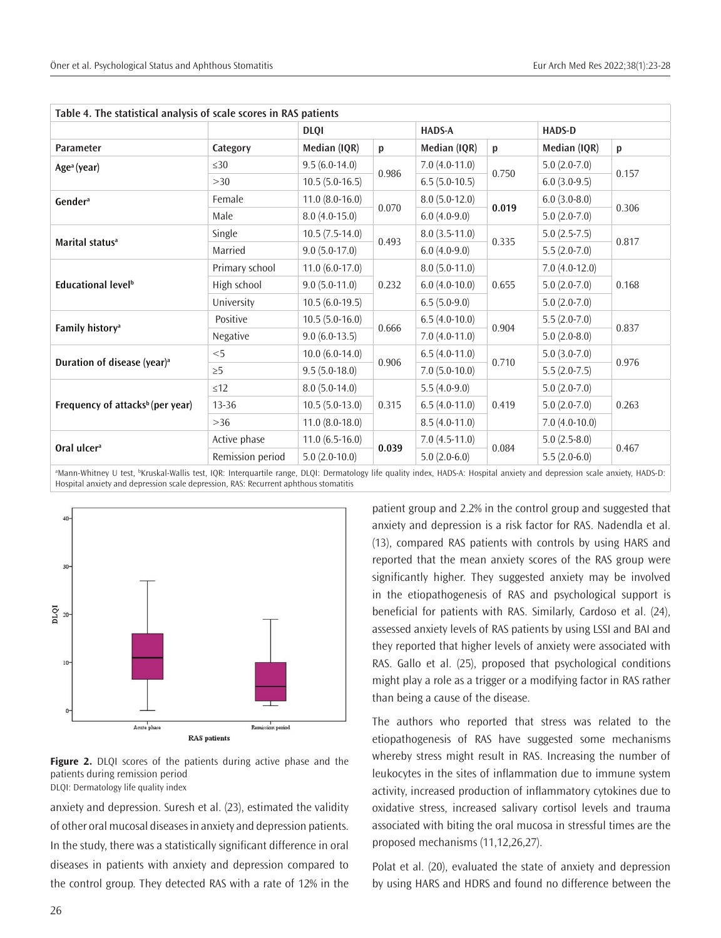| Table 4. The statistical analysis of scale scores in RAS patients |                  |                     |       |                 |       |                 |       |
|-------------------------------------------------------------------|------------------|---------------------|-------|-----------------|-------|-----------------|-------|
|                                                                   |                  | <b>DLQI</b>         |       | <b>HADS-A</b>   |       | <b>HADS-D</b>   |       |
| Parameter                                                         | Category         | Median (IQR)        | p     | Median (IQR)    | p     | Median (IQR)    | p     |
| Age <sup>a</sup> (year)                                           | $\leq 30$        | $9.5(6.0-14.0)$     | 0.986 | $7.0(4.0-11.0)$ | 0.750 | $5.0(2.0-7.0)$  | 0.157 |
|                                                                   | >30              | $10.5(5.0-16.5)$    |       | $6.5(5.0-10.5)$ |       | $6.0(3.0-9.5)$  |       |
| Gender <sup>a</sup>                                               | Female           | $11.0 (8.0 - 16.0)$ | 0.070 | $8.0(5.0-12.0)$ | 0.019 | $6.0(3.0-8.0)$  | 0.306 |
|                                                                   | Male             | $8.0(4.0-15.0)$     |       | $6.0(4.0-9.0)$  |       | $5.0(2.0-7.0)$  |       |
|                                                                   | Single           | $10.5(7.5-14.0)$    | 0.493 | $8.0(3.5-11.0)$ | 0.335 | $5.0(2.5-7.5)$  | 0.817 |
| Marital status <sup>a</sup>                                       | Married          | $9.0(5.0-17.0)$     |       | $6.0(4.0-9.0)$  |       | $5.5(2.0-7.0)$  |       |
|                                                                   | Primary school   | $11.0(6.0-17.0)$    | 0.232 | $8.0(5.0-11.0)$ | 0.655 | $7.0(4.0-12.0)$ | 0.168 |
| Educational level <sup>b</sup>                                    | High school      | $9.0(5.0-11.0)$     |       | $6.0(4.0-10.0)$ |       | $5.0(2.0-7.0)$  |       |
|                                                                   | University       | $10.5(6.0-19.5)$    |       | $6.5(5.0-9.0)$  |       | $5.0(2.0-7.0)$  |       |
| Family history <sup>a</sup>                                       | Positive         | $10.5(5.0-16.0)$    | 0.666 | $6.5(4.0-10.0)$ | 0.904 | $5.5(2.0-7.0)$  | 0.837 |
|                                                                   | Negative         | $9.0(6.0-13.5)$     |       | $7.0(4.0-11.0)$ |       | $5.0(2.0-8.0)$  |       |
|                                                                   | $<$ 5            | $10.0 (6.0-14.0)$   | 0.906 | $6.5(4.0-11.0)$ | 0.710 | $5.0(3.0-7.0)$  | 0.976 |
| Duration of disease (year) <sup>a</sup>                           | $\geq 5$         | $9.5(5.0-18.0)$     |       | $7.0(5.0-10.0)$ |       | $5.5(2.0-7.5)$  |       |
| Frequency of attacks <sup>b</sup> (per year)                      | $\leq$ 12        | $8.0(5.0-14.0)$     | 0.315 | $5.5(4.0-9.0)$  | 0.419 | $5.0(2.0-7.0)$  | 0.263 |
|                                                                   | 13-36            | $10.5(5.0-13.0)$    |       | $6.5(4.0-11.0)$ |       | $5.0(2.0-7.0)$  |       |
|                                                                   | $>36$            | $11.0 (8.0 - 18.0)$ |       | $8.5(4.0-11.0)$ |       | $7.0(4.0-10.0)$ |       |
|                                                                   | Active phase     | $11.0(6.5-16.0)$    | 0.039 | $7.0(4.5-11.0)$ | 0.084 | $5.0(2.5-8.0)$  | 0.467 |
| Oral ulcer <sup>a</sup>                                           | Remission period | $5.0(2.0-10.0)$     |       | $5.0(2.0-6.0)$  |       | $5.5(2.0-6.0)$  |       |

a Mann-Whitney U test, <sup>b</sup> Kruskal-Wallis test, IQR: Interquartile range, DLQI: Dermatology life quality index, HADS-A: Hospital anxiety and depression scale anxiety, HADS-D: Hospital anxiety and depression scale depression, RAS: Recurrent aphthous stomatitis



**Figure 2.** DLQI scores of the patients during active phase and the patients during remission period DLQI: Dermatology life quality index

anxiety and depression. Suresh et al. (23), estimated the validity of other oral mucosal diseases in anxiety and depression patients. In the study, there was a statistically significant difference in oral diseases in patients with anxiety and depression compared to the control group. They detected RAS with a rate of 12% in the

patient group and 2.2% in the control group and suggested that anxiety and depression is a risk factor for RAS. Nadendla et al. (13), compared RAS patients with controls by using HARS and reported that the mean anxiety scores of the RAS group were significantly higher. They suggested anxiety may be involved in the etiopathogenesis of RAS and psychological support is beneficial for patients with RAS. Similarly, Cardoso et al. (24), assessed anxiety levels of RAS patients by using LSSI and BAI and they reported that higher levels of anxiety were associated with RAS. Gallo et al. (25), proposed that psychological conditions might play a role as a trigger or a modifying factor in RAS rather than being a cause of the disease.

The authors who reported that stress was related to the etiopathogenesis of RAS have suggested some mechanisms whereby stress might result in RAS. Increasing the number of leukocytes in the sites of inflammation due to immune system activity, increased production of inflammatory cytokines due to oxidative stress, increased salivary cortisol levels and trauma associated with biting the oral mucosa in stressful times are the proposed mechanisms (11,12,26,27).

Polat et al. (20), evaluated the state of anxiety and depression by using HARS and HDRS and found no difference between the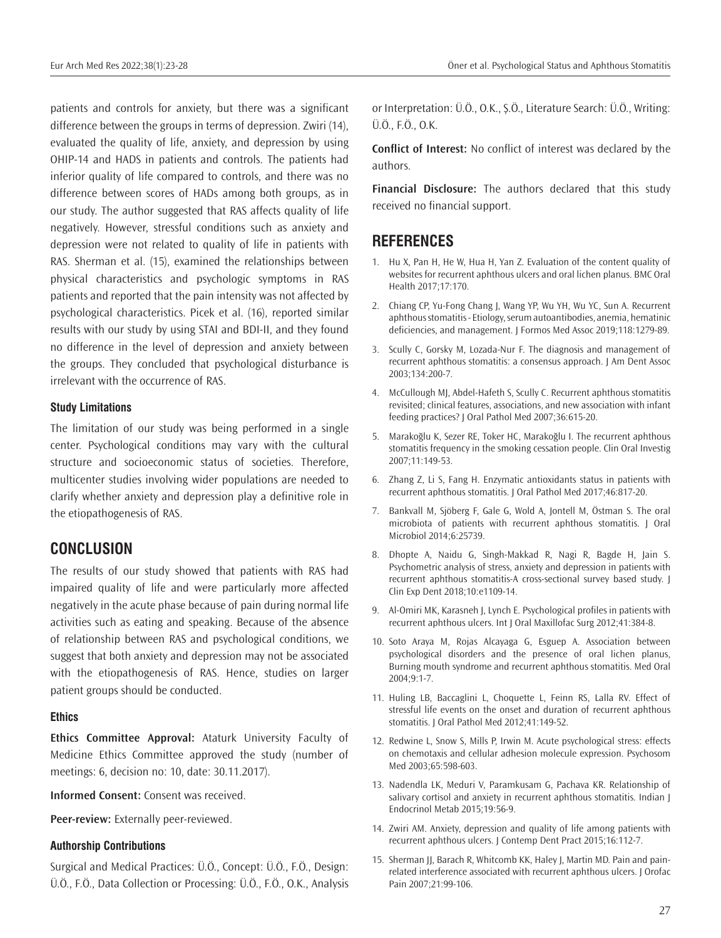patients and controls for anxiety, but there was a significant difference between the groups in terms of depression. Zwiri (14), evaluated the quality of life, anxiety, and depression by using OHIP-14 and HADS in patients and controls. The patients had inferior quality of life compared to controls, and there was no difference between scores of HADs among both groups, as in our study. The author suggested that RAS affects quality of life negatively. However, stressful conditions such as anxiety and depression were not related to quality of life in patients with RAS. Sherman et al. (15), examined the relationships between physical characteristics and psychologic symptoms in RAS patients and reported that the pain intensity was not affected by psychological characteristics. Picek et al. (16), reported similar results with our study by using STAI and BDI-II, and they found no difference in the level of depression and anxiety between the groups. They concluded that psychological disturbance is irrelevant with the occurrence of RAS.

#### **Study Limitations**

The limitation of our study was being performed in a single center. Psychological conditions may vary with the cultural structure and socioeconomic status of societies. Therefore, multicenter studies involving wider populations are needed to clarify whether anxiety and depression play a definitive role in the etiopathogenesis of RAS.

### **CONCLUSION**

The results of our study showed that patients with RAS had impaired quality of life and were particularly more affected negatively in the acute phase because of pain during normal life activities such as eating and speaking. Because of the absence of relationship between RAS and psychological conditions, we suggest that both anxiety and depression may not be associated with the etiopathogenesis of RAS. Hence, studies on larger patient groups should be conducted.

#### **Ethics**

**Ethics Committee Approval:** Ataturk University Faculty of Medicine Ethics Committee approved the study (number of meetings: 6, decision no: 10, date: 30.11.2017).

**Informed Consent:** Consent was received.

**Peer-review:** Externally peer-reviewed.

#### **Authorship Contributions**

Surgical and Medical Practices: Ü.Ö., Concept: Ü.Ö., F.Ö., Design: Ü.Ö., F.Ö., Data Collection or Processing: Ü.Ö., F.Ö., O.K., Analysis or Interpretation: Ü.Ö., O.K., Ş.Ö., Literature Search: Ü.Ö., Writing: Ü.Ö., F.Ö., O.K.

**Conflict of Interest:** No conflict of interest was declared by the authors.

**Financial Disclosure:** The authors declared that this study received no financial support.

## **REFERENCES**

- 1. Hu X, Pan H, He W, Hua H, Yan Z. Evaluation of the content quality of websites for recurrent aphthous ulcers and oral lichen planus. BMC Oral Health 2017;17:170.
- 2. Chiang CP, Yu-Fong Chang J, Wang YP, Wu YH, Wu YC, Sun A. Recurrent aphthous stomatitis - Etiology, serum autoantibodies, anemia, hematinic deficiencies, and management. J Formos Med Assoc 2019;118:1279-89.
- 3. Scully C, Gorsky M, Lozada-Nur F. The diagnosis and management of recurrent aphthous stomatitis: a consensus approach. J Am Dent Assoc 2003;134:200-7.
- 4. McCullough MJ, Abdel-Hafeth S, Scully C. Recurrent aphthous stomatitis revisited; clinical features, associations, and new association with infant feeding practices? J Oral Pathol Med 2007;36:615-20.
- 5. Marakoğlu K, Sezer RE, Toker HC, Marakoğlu I. The recurrent aphthous stomatitis frequency in the smoking cessation people. Clin Oral Investig 2007;11:149-53.
- 6. Zhang Z, Li S, Fang H. Enzymatic antioxidants status in patients with recurrent aphthous stomatitis. J Oral Pathol Med 2017;46:817-20.
- 7. Bankvall M, Sjöberg F, Gale G, Wold A, Jontell M, Östman S. The oral microbiota of patients with recurrent aphthous stomatitis. J Oral Microbiol 2014;6:25739.
- 8. Dhopte A, Naidu G, Singh-Makkad R, Nagi R, Bagde H, Jain S. Psychometric analysis of stress, anxiety and depression in patients with recurrent aphthous stomatitis-A cross-sectional survey based study. J Clin Exp Dent 2018;10:e1109-14.
- 9. Al-Omiri MK, Karasneh J, Lynch E. Psychological profiles in patients with recurrent aphthous ulcers. Int J Oral Maxillofac Surg 2012;41:384-8.
- 10. Soto Araya M, Rojas Alcayaga G, Esguep A. Association between psychological disorders and the presence of oral lichen planus, Burning mouth syndrome and recurrent aphthous stomatitis. Med Oral 2004;9:1-7.
- 11. Huling LB, Baccaglini L, Choquette L, Feinn RS, Lalla RV. Effect of stressful life events on the onset and duration of recurrent aphthous stomatitis. | Oral Pathol Med 2012;41:149-52.
- 12. Redwine L, Snow S, Mills P, Irwin M. Acute psychological stress: effects on chemotaxis and cellular adhesion molecule expression. Psychosom Med 2003;65:598-603.
- 13. Nadendla LK, Meduri V, Paramkusam G, Pachava KR. Relationship of salivary cortisol and anxiety in recurrent aphthous stomatitis. Indian J Endocrinol Metab 2015;19:56-9.
- 14. Zwiri AM. Anxiety, depression and quality of life among patients with recurrent aphthous ulcers. J Contemp Dent Pract 2015;16:112-7.
- 15. Sherman JJ, Barach R, Whitcomb KK, Haley J, Martin MD. Pain and painrelated interference associated with recurrent aphthous ulcers. J Orofac Pain 2007;21:99-106.